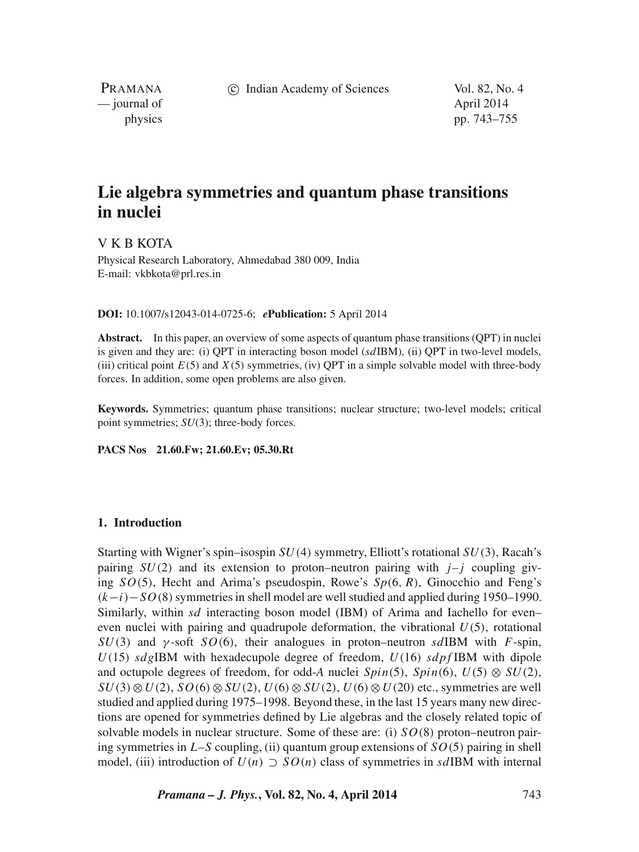c Indian Academy of Sciences Vol. 82, No. 4

PRAMANA — journal of April 2014

physics pp. 743–755

# **Lie algebra symmetries and quantum phase transitions in nuclei**

V K B KOTA

Physical Research Laboratory, Ahmedabad 380 009, India E-mail: vkbkota@prl.res.in

#### **DOI:** 10.1007/s12043-014-0725-6; *e***Publication:** 5 April 2014

**Abstract.** In this paper, an overview of some aspects of quantum phase transitions (QPT) in nuclei is given and they are: (i) OPT in interacting boson model  $(sdIBM)$ , (ii) OPT in two-level models, (iii) critical point  $E(5)$  and  $X(5)$  symmetries, (iv) OPT in a simple solvable model with three-body forces. In addition, some open problems are also given.

**Keywords.** Symmetries; quantum phase transitions; nuclear structure; two-level models; critical point symmetries; *SU*(3); three-body forces.

**PACS Nos 21.60.Fw; 21.60.Ev; 05.30.Rt**

# **1. Introduction**

Starting with Wigner's spin–isospin  $SU(4)$  symmetry, Elliott's rotational  $SU(3)$ , Racah's pairing  $SU(2)$  and its extension to proton–neutron pairing with  $j-i$  coupling giving  $SO(5)$ , Hecht and Arima's pseudospin, Rowe's  $Sp(6, R)$ , Ginocchio and Feng's  $(k-i)-SO(8)$  symmetries in shell model are well studied and applied during 1950–1990. Similarly, within  $sd$  interacting boson model (IBM) of Arima and Iachello for even– even nuclei with pairing and quadrupole deformation, the vibrational  $U(5)$ , rotational  $SU(3)$  and  $\gamma$ -soft  $SO(6)$ , their analogues in proton–neutron sdIBM with F-spin,  $U(15)$  sdgIBM with hexadecupole degree of freedom,  $U(16)$  sdpfIBM with dipole and octupole degrees of freedom, for odd-*A* nuclei  $Spin(5)$ ,  $Spin(6)$ ,  $U(5) \otimes SU(2)$ ,  $SU(3) \otimes U(2)$ ,  $SO(6) \otimes SU(2)$ ,  $U(6) \otimes SU(2)$ ,  $U(6) \otimes U(20)$  etc., symmetries are well studied and applied during 1975–1998. Beyond these, in the last 15 years many new directions are opened for symmetries defined by Lie algebras and the closely related topic of solvable models in nuclear structure. Some of these are: (i)  $SO(8)$  proton–neutron pairing symmetries in  $L-S$  coupling, (ii) quantum group extensions of  $SO(5)$  pairing in shell model, (iii) introduction of  $U(n) \supset SO(n)$  class of symmetries in sdIBM with internal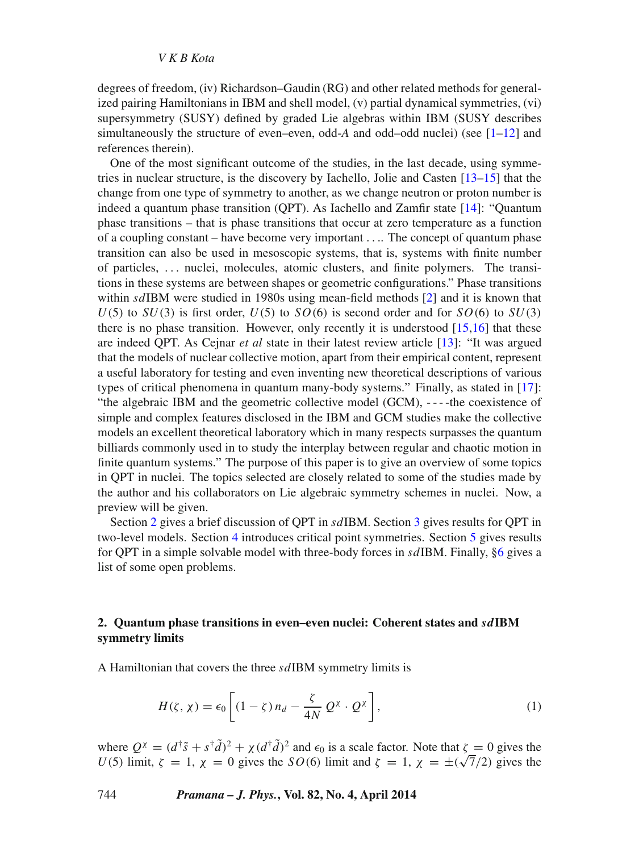degrees of freedom, (iv) Richardson–Gaudin (RG) and other related methods for generalized pairing Hamiltonians in IBM and shell model, (v) partial dynamical symmetries, (vi) supersymmetry (SUSY) defined by graded Lie algebras within IBM (SUSY describes simultaneously the structure of even–even, odd- $A$  and odd–odd nuclei) (see  $[1-12]$  $[1-12]$  and references therein).

One of the most significant outcome of the studies, in the last decade, using symmetries in nuclear structure, is the discovery by Iachello, Jolie and Casten [\[13](#page-12-1)[–15\]](#page-12-2) that the change from one type of symmetry to another, as we change neutron or proton number is indeed a quantum phase transition (QPT). As Iachello and Zamfir state [\[14\]](#page-12-3): "Quantum phase transitions – that is phase transitions that occur at zero temperature as a function of a coupling constant – have become very important .... The concept of quantum phase transition can also be used in mesoscopic systems, that is, systems with finite number of particles, ... nuclei, molecules, atomic clusters, and finite polymers. The transitions in these systems are between shapes or geometric configurations." Phase transitions within  $sd$ IBM were studied in 1980s using mean-field methods  $[2]$  and it is known that  $U(5)$  to  $SU(3)$  is first order,  $U(5)$  to  $SO(6)$  is second order and for  $SO(6)$  to  $SU(3)$ there is no phase transition. However, only recently it is understood  $[15,16]$  $[15,16]$  that these are indeed QPT. As Cejnar *et al* state in their latest review article [\[13\]](#page-12-1): "It was argued that the models of nuclear collective motion, apart from their empirical content, represent a useful laboratory for testing and even inventing new theoretical descriptions of various types of critical phenomena in quantum many-body systems." Finally, as stated in [\[17\]](#page-12-5): "the algebraic IBM and the geometric collective model (GCM), - - - -the coexistence of simple and complex features disclosed in the IBM and GCM studies make the collective models an excellent theoretical laboratory which in many respects surpasses the quantum billiards commonly used in to study the interplay between regular and chaotic motion in finite quantum systems." The purpose of this paper is to give an overview of some topics in QPT in nuclei. The topics selected are closely related to some of the studies made by the author and his collaborators on Lie algebraic symmetry schemes in nuclei. Now, a preview will be given.

Section [2](#page-1-0) gives a brief discussion of QPT in sdIBM. Section [3](#page-3-0) gives results for QPT in two-level models. Section [4](#page-5-0) introduces critical point symmetries. Section [5](#page-8-0) gives results for QPT in a simple solvable model with three-body forces in sdIBM. Finally, [§6](#page-10-0) gives a list of some open problems.

# <span id="page-1-0"></span>**2. Quantum phase transitions in even–even nuclei: Coherent states and** *sd***IBM symmetry limits**

A Hamiltonian that covers the three sdIBM symmetry limits is

$$
H(\zeta, \chi) = \epsilon_0 \left[ (1 - \zeta) n_d - \frac{\zeta}{4N} Q^{\chi} \cdot Q^{\chi} \right],
$$
 (1)

where  $Q^{\chi} = (d^{\dagger}\tilde{s} + s^{\dagger}\tilde{d})^2 + \chi(d^{\dagger}\tilde{d})^2$  and  $\epsilon_0$  is a scale factor. Note that  $\zeta = 0$  gives the U(5) limit,  $\zeta = 1$ ,  $\chi = 0$  gives the SO(6) limit and  $\zeta = 1$ ,  $\chi = \pm(\sqrt{7}/2)$  gives the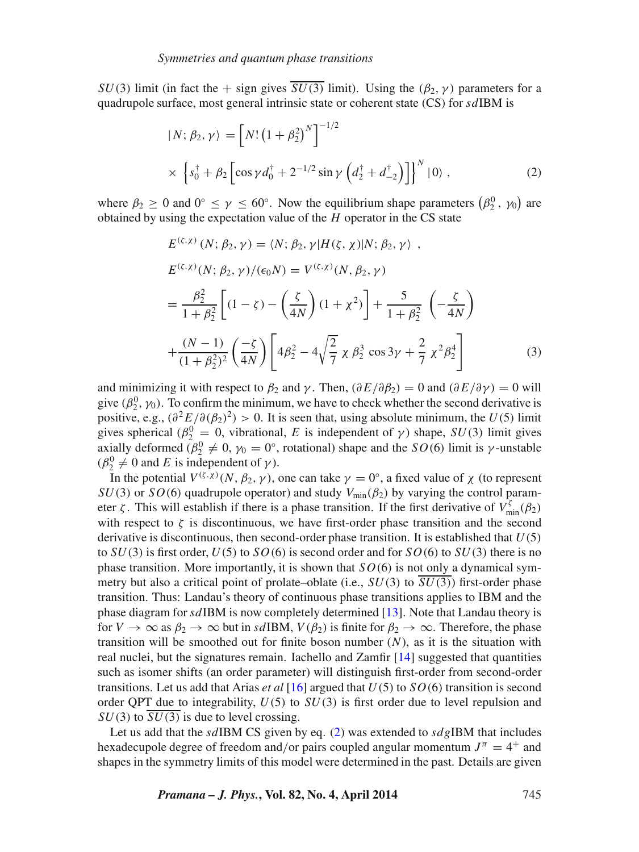$SU(3)$  limit (in fact the + sign gives  $\overline{SU(3)}$  limit). Using the  $(\beta_2, \gamma)$  parameters for a quadrupole surface, most general intrinsic state or coherent state  $(CS)$  for  $sdIBM$  is

<span id="page-2-0"></span>
$$
\begin{aligned} |N; \beta_2, \gamma \rangle &= \left[ N! \left( 1 + \beta_2^2 \right)^N \right]^{-1/2} \\ &\times \left\{ s_0^\dagger + \beta_2 \left[ \cos \gamma d_0^\dagger + 2^{-1/2} \sin \gamma \left( d_2^\dagger + d_{-2}^\dagger \right) \right] \right\}^N |0\rangle \,, \end{aligned} \tag{2}
$$

where  $\beta_2 \ge 0$  and  $0^\circ \le \gamma \le 60^\circ$ . Now the equilibrium shape parameters  $(\beta_2^0, \gamma_0)$  are obtained by using the expectation value of the  $H$  operator in the CS state

$$
E^{(\zeta,\chi)}(N; \beta_2, \gamma) = \langle N; \beta_2, \gamma | H(\zeta, \chi) | N; \beta_2, \gamma \rangle ,
$$
  
\n
$$
E^{(\zeta,\chi)}(N; \beta_2, \gamma) / (\epsilon_0 N) = V^{(\zeta,\chi)}(N, \beta_2, \gamma)
$$
  
\n
$$
= \frac{\beta_2^2}{1 + \beta_2^2} \left[ (1 - \zeta) - \left( \frac{\zeta}{4N} \right) (1 + \chi^2) \right] + \frac{5}{1 + \beta_2^2} \left( -\frac{\zeta}{4N} \right)
$$
  
\n
$$
+ \frac{(N - 1)}{(1 + \beta_2^2)^2} \left( \frac{-\zeta}{4N} \right) \left[ 4\beta_2^2 - 4\sqrt{\frac{2}{7}} \chi \beta_2^3 \cos 3\gamma + \frac{2}{7} \chi^2 \beta_2^4 \right]
$$
(3)

and minimizing it with respect to  $\beta_2$  and  $\gamma$ . Then,  $(\partial E/\partial \beta_2) = 0$  and  $(\partial E/\partial \gamma) = 0$  will give  $(\beta_2^0, \gamma_0)$ . To confirm the minimum, we have to check whether the second derivative is positive, e.g.,  $\left(\frac{\partial^2 E}{\partial (\beta_2)^2}\right) > 0$ . It is seen that, using absolute minimum, the  $U(5)$  limit gives spherical ( $\beta_2^0 = 0$ , vibrational, E is independent of  $\gamma$ ) shape,  $SU(3)$  limit gives axially deformed ( $\beta_2^0 \neq 0$ ,  $\gamma_0 = 0^\circ$ , rotational) shape and the SO(6) limit is  $\gamma$ -unstable  $(\beta_2^0 \neq 0 \text{ and } E \text{ is independent of } \gamma).$ 

In the potential  $V^{(\zeta,\chi)}(N,\beta_2,\gamma)$ , one can take  $\gamma=0^\circ$ , a fixed value of  $\chi$  (to represent  $SU(3)$  or  $SO(6)$  quadrupole operator) and study  $V_{\text{min}}(\beta_2)$  by varying the control parameter  $\zeta$ . This will establish if there is a phase transition. If the first derivative of  $V_{\text{min}}^{\zeta}(\beta_2)$ with respect to  $\zeta$  is discontinuous, we have first-order phase transition and the second derivative is discontinuous, then second-order phase transition. It is established that  $U(5)$ to  $SU(3)$  is first order,  $U(5)$  to  $SO(6)$  is second order and for  $SO(6)$  to  $SU(3)$  there is no phase transition. More importantly, it is shown that  $SO(6)$  is not only a dynamical symmetry but also a critical point of prolate–oblate (i.e.,  $SU(3)$  to  $\overline{SU(3)}$ ) first-order phase transition. Thus: Landau's theory of continuous phase transitions applies to IBM and the phase diagram for sdIBM is now completely determined [\[13\]](#page-12-1). Note that Landau theory is for  $V \to \infty$  as  $\beta_2 \to \infty$  but in sdIBM,  $V(\beta_2)$  is finite for  $\beta_2 \to \infty$ . Therefore, the phase transition will be smoothed out for finite boson number  $(N)$ , as it is the situation with real nuclei, but the signatures remain. Iachello and Zamfir [\[14\]](#page-12-3) suggested that quantities such as isomer shifts (an order parameter) will distinguish first-order from second-order transitions. Let us add that Arias *et al* [\[16\]](#page-12-4) argued that  $U(5)$  to  $SO(6)$  transition is second order QPT due to integrability,  $U(5)$  to  $SU(3)$  is first order due to level repulsion and  $SU(3)$  to  $\overline{SU(3)}$  is due to level crossing.

Let us add that the sdIBM CS given by eq. [\(2\)](#page-2-0) was extended to  $sdg$ IBM that includes hexadecupole degree of freedom and/or pairs coupled angular momentum  $J^{\pi} = 4^{+}$  and shapes in the symmetry limits of this model were determined in the past. Details are given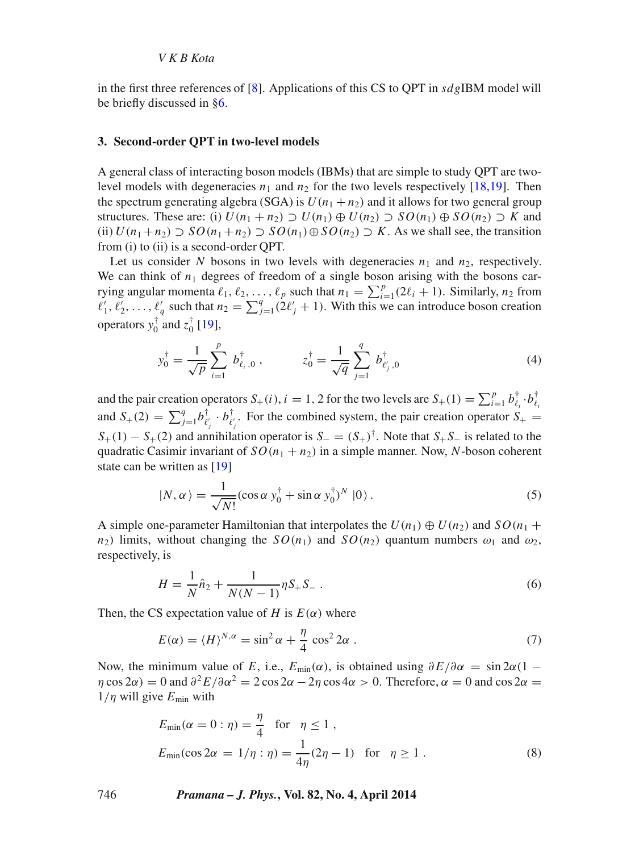in the first three references of [\[8\]](#page-11-2). Applications of this CS to OPT in  $sd \ell$  IBM model will be briefly discussed in [§6.](#page-10-0)

#### <span id="page-3-0"></span>**3. Second-order QPT in two-level models**

A general class of interacting boson models (IBMs) that are simple to study QPT are twolevel models with degeneracies  $n_1$  and  $n_2$  for the two levels respectively [\[18,](#page-12-6)[19\]](#page-12-7). Then the spectrum generating algebra (SGA) is  $U(n_1 + n_2)$  and it allows for two general group structures. These are: (i)  $U(n_1 + n_2) \supset U(n_1) \oplus U(n_2) \supset SO(n_1) \oplus SO(n_2) \supset K$  and (ii)  $U(n_1+n_2) \supset SO(n_1+n_2) \supset SO(n_1) \oplus SO(n_2) \supset K$ . As we shall see, the transition from (i) to (ii) is a second-order QPT.

Let us consider N bosons in two levels with degeneracies  $n_1$  and  $n_2$ , respectively. We can think of  $n_1$  degrees of freedom of a single boson arising with the bosons carrying angular momenta  $\ell_1, \ell_2, \ldots, \ell_p$  such that  $n_1 = \sum_{i=1}^p (2\ell_i + 1)$ . Similarly,  $n_2$  from  $\ell'_1, \ell'_2, \ldots, \ell'_q$  such that  $n_2 = \sum_{j=1}^q (2\ell'_j + 1)$ . With this we can introduce boson creation operators  $y_0^{\dagger}$  and  $z_0^{\dagger}$  [\[19\]](#page-12-7),

$$
y_0^{\dagger} = \frac{1}{\sqrt{p}} \sum_{i=1}^p b_{\ell_i,0}^{\dagger}, \qquad z_0^{\dagger} = \frac{1}{\sqrt{q}} \sum_{j=1}^q b_{\ell'_j,0}^{\dagger} \tag{4}
$$

and the pair creation operators  $S_+(i)$ ,  $i = 1, 2$  for the two levels are  $S_+(1) = \sum_{i=1}^p b_{\ell_i}^{\dagger} \cdot b_{\ell_i}^{\dagger}$ and  $S_+(2) = \sum_{j=1}^q b_{\ell_j}^{\dagger} \cdot b_{\ell_j}^{\dagger}$ . For the combined system, the pair creation operator  $S_+$  $S_{+}(1) - S_{+}(2)$  and annihilation operator is  $S_{-} = (S_{+})^{\dagger}$ . Note that  $S_{+}S_{-}$  is related to the quadratic Casimir invariant of  $SO(n_1 + n_2)$  in a simple manner. Now, N-boson coherent state can be written as [\[19\]](#page-12-7)

$$
|N, \alpha\rangle = \frac{1}{\sqrt{N!}} (\cos \alpha y_0^{\dagger} + \sin \alpha y_0^{\dagger})^N |0\rangle.
$$
 (5)

A simple one-parameter Hamiltonian that interpolates the  $U(n_1) \oplus U(n_2)$  and  $SO(n_1 +$  $n_2$ ) limits, without changing the  $SO(n_1)$  and  $SO(n_2)$  quantum numbers  $\omega_1$  and  $\omega_2$ , respectively, is

$$
H = \frac{1}{N}\hat{n}_2 + \frac{1}{N(N-1)}\eta S_+ S_- \,. \tag{6}
$$

Then, the CS expectation value of H is  $E(\alpha)$  where

$$
E(\alpha) = \langle H \rangle^{N,\alpha} = \sin^2 \alpha + \frac{\eta}{4} \cos^2 2\alpha \,. \tag{7}
$$

Now, the minimum value of E, i.e.,  $E_{min}(\alpha)$ , is obtained using  $\partial E/\partial \alpha = \sin 2\alpha(1 - \alpha)$  $\eta \cos 2\alpha$ ) = 0 and  $\frac{\partial^2 E}{\partial \alpha^2}$  = 2 cos 2 $\alpha - 2\eta \cos 4\alpha > 0$ . Therefore,  $\alpha = 0$  and cos 2 $\alpha =$  $1/\eta$  will give  $E_{\text{min}}$  with

$$
E_{\min}(\alpha = 0 : \eta) = \frac{\eta}{4} \quad \text{for} \quad \eta \le 1,
$$
  

$$
E_{\min}(\cos 2\alpha = 1/\eta : \eta) = \frac{1}{4\eta}(2\eta - 1) \quad \text{for} \quad \eta \ge 1.
$$
 (8)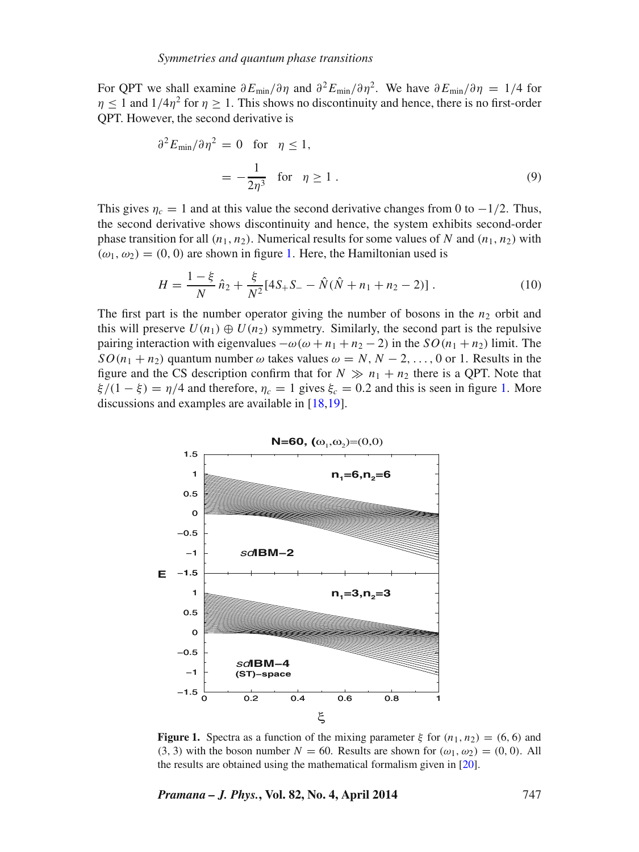For QPT we shall examine  $\partial E_{\text{min}}/\partial \eta$  and  $\partial^2 E_{\text{min}}/\partial \eta^2$ . We have  $\partial E_{\text{min}}/\partial \eta = 1/4$  for  $\eta$  < 1 and  $1/4\eta^2$  for  $\eta > 1$ . This shows no discontinuity and hence, there is no first-order QPT. However, the second derivative is

$$
\partial^2 E_{\min}/\partial \eta^2 = 0 \quad \text{for} \quad \eta \le 1,
$$
  
=  $-\frac{1}{2\eta^3} \quad \text{for} \quad \eta \ge 1.$  (9)

This gives  $\eta_c = 1$  and at this value the second derivative changes from 0 to  $-1/2$ . Thus, the second derivative shows discontinuity and hence, the system exhibits second-order phase transition for all  $(n_1, n_2)$ . Numerical results for some values of N and  $(n_1, n_2)$  with  $(\omega_1, \omega_2) = (0, 0)$  are shown in figure [1.](#page-4-0) Here, the Hamiltonian used is

$$
H = \frac{1 - \xi}{N} \hat{n}_2 + \frac{\xi}{N^2} [4S_+S_- - \hat{N}(\hat{N} + n_1 + n_2 - 2)].
$$
 (10)

The first part is the number operator giving the number of bosons in the  $n_2$  orbit and this will preserve  $U(n_1) \oplus U(n_2)$  symmetry. Similarly, the second part is the repulsive pairing interaction with eigenvalues  $-\omega(\omega + n_1 + n_2 - 2)$  in the  $SO(n_1 + n_2)$  limit. The  $SO(n_1 + n_2)$  quantum number  $\omega$  takes values  $\omega = N, N - 2, \ldots, 0$  or 1. Results in the figure and the CS description confirm that for  $N \gg n_1 + n_2$  there is a QPT. Note that  $\xi/(1-\xi) = \eta/4$  and therefore,  $\eta_c = 1$  gives  $\xi_c = 0.2$  and this is seen in figure [1.](#page-4-0) More discussions and examples are available in [\[18,](#page-12-6)[19\]](#page-12-7).

<span id="page-4-0"></span>

**Figure 1.** Spectra as a function of the mixing parameter  $\xi$  for  $(n_1, n_2) = (6, 6)$  and (3, 3) with the boson number  $N = 60$ . Results are shown for  $(\omega_1, \omega_2) = (0, 0)$ . All the results are obtained using the mathematical formalism given in [\[20\]](#page-12-8).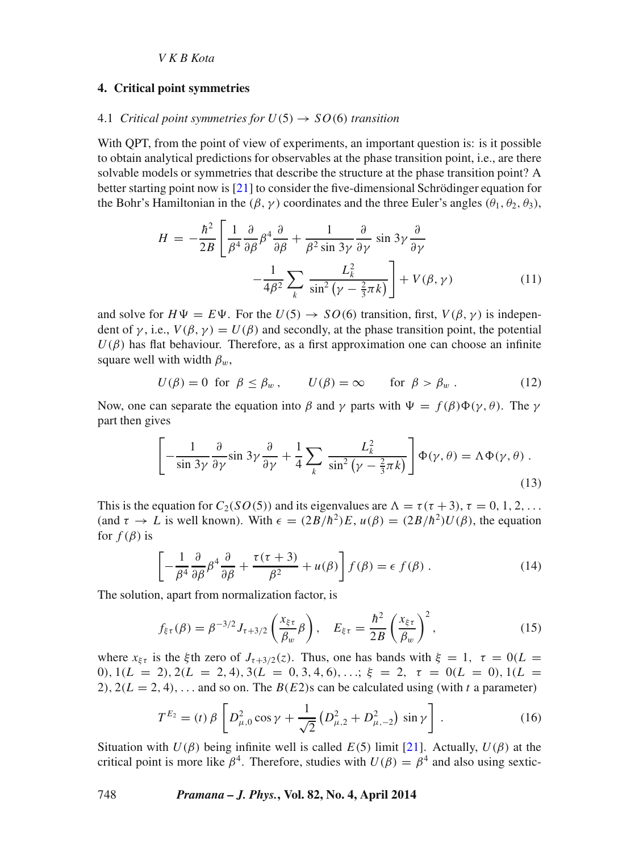# <span id="page-5-0"></span>**4. Critical point symmetries**

### 4.1 *Critical point symmetries for*  $U(5) \rightarrow SO(6)$  *transition*

With QPT, from the point of view of experiments, an important question is: is it possible to obtain analytical predictions for observables at the phase transition point, i.e., are there solvable models or symmetries that describe the structure at the phase transition point? A better starting point now is [\[21\]](#page-12-9) to consider the five-dimensional Schrödinger equation for the Bohr's Hamiltonian in the  $(\beta, \gamma)$  coordinates and the three Euler's angles  $(\theta_1, \theta_2, \theta_3)$ ,

$$
H = -\frac{\hbar^2}{2B} \left[ \frac{1}{\beta^4} \frac{\partial}{\partial \beta} \beta^4 \frac{\partial}{\partial \beta} + \frac{1}{\beta^2 \sin 3\gamma} \frac{\partial}{\partial \gamma} \sin 3\gamma \frac{\partial}{\partial \gamma} - \frac{1}{4\beta^2} \sum_k \frac{L_k^2}{\sin^2 (\gamma - \frac{2}{3}\pi k)} \right] + V(\beta, \gamma)
$$
(11)

and solve for  $H\Psi = E\Psi$ . For the  $U(5) \rightarrow SO(6)$  transition, first,  $V(\beta, \gamma)$  is independent of  $\gamma$ , i.e.,  $V(\beta, \gamma) = U(\beta)$  and secondly, at the phase transition point, the potential  $U(\beta)$  has flat behaviour. Therefore, as a first approximation one can choose an infinite square well with width  $\beta_w$ ,

$$
U(\beta) = 0 \text{ for } \beta \le \beta_w, \qquad U(\beta) = \infty \qquad \text{for } \beta > \beta_w. \tag{12}
$$

Now, one can separate the equation into  $\beta$  and  $\gamma$  parts with  $\Psi = f(\beta)\Phi(\gamma,\theta)$ . The  $\gamma$ part then gives

$$
\left[ -\frac{1}{\sin 3\gamma} \frac{\partial}{\partial \gamma} \sin 3\gamma \frac{\partial}{\partial \gamma} + \frac{1}{4} \sum_{k} \frac{L_k^2}{\sin^2 (\gamma - \frac{2}{3}\pi k)} \right] \Phi(\gamma, \theta) = \Lambda \Phi(\gamma, \theta) .
$$
\n(13)

This is the equation for  $C_2(SO(5))$  and its eigenvalues are  $\Lambda = \tau(\tau + 3)$ ,  $\tau = 0, 1, 2, \ldots$ . (and  $\tau \to L$  is well known). With  $\epsilon = (2B/\hbar^2)E$ ,  $u(\beta) = (2B/\hbar^2)U(\beta)$ , the equation for  $f(\beta)$  is

$$
\left[ -\frac{1}{\beta^4} \frac{\partial}{\partial \beta} \beta^4 \frac{\partial}{\partial \beta} + \frac{\tau(\tau + 3)}{\beta^2} + u(\beta) \right] f(\beta) = \epsilon \ f(\beta) \ . \tag{14}
$$

The solution, apart from normalization factor, is

$$
f_{\xi\tau}(\beta) = \beta^{-3/2} J_{\tau+3/2} \left(\frac{x_{\xi\tau}}{\beta_w} \beta\right), \quad E_{\xi\tau} = \frac{\hbar^2}{2B} \left(\frac{x_{\xi\tau}}{\beta_w}\right)^2, \tag{15}
$$

where  $x_{\xi\tau}$  is the  $\xi$ th zero of  $J_{\tau+3/2}(z)$ . Thus, one has bands with  $\xi = 1, \tau = 0(L =$ 0),  $1(L = 2)$ ,  $2(L = 2, 4)$ ,  $3(L = 0, 3, 4, 6)$ , ...;  $\xi = 2$ ,  $\tau = 0(L = 0)$ ,  $1(L = 1)$ 2),  $2(L = 2, 4)$ , ... and so on. The  $B(E2)$ s can be calculated using (with t a parameter)

$$
T^{E_2} = (t) \beta \left[ D_{\mu,0}^2 \cos \gamma + \frac{1}{\sqrt{2}} \left( D_{\mu,2}^2 + D_{\mu,-2}^2 \right) \sin \gamma \right].
$$
 (16)

Situation with  $U(\beta)$  being infinite well is called  $E(5)$  limit [\[21\]](#page-12-9). Actually,  $U(\beta)$  at the critical point is more like  $\beta^4$ . Therefore, studies with  $U(\beta) = \beta^4$  and also using sextic-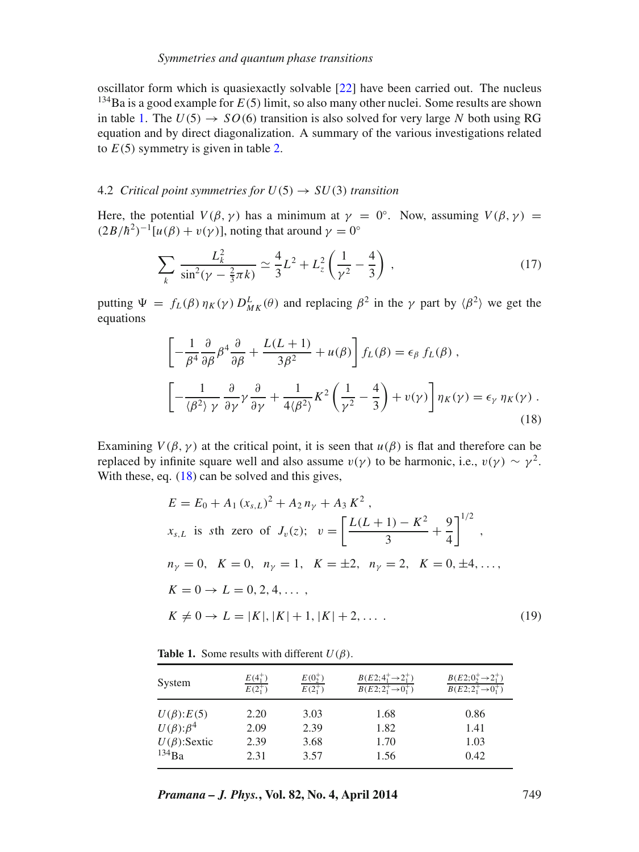oscillator form which is quasiexactly solvable [\[22\]](#page-12-10) have been carried out. The nucleus <sup>134</sup>Ba is a good example for  $E(5)$  limit, so also many other nuclei. Some results are shown in table [1.](#page-6-0) The  $U(5) \rightarrow SO(6)$  transition is also solved for very large N both using RG equation and by direct diagonalization. A summary of the various investigations related to  $E(5)$  symmetry is given in table [2.](#page-7-0)

#### 4.2 *Critical point symmetries for*  $U(5) \rightarrow SU(3)$  *transition*

Here, the potential  $V(\beta, \gamma)$  has a minimum at  $\gamma = 0^{\circ}$ . Now, assuming  $V(\beta, \gamma) =$  $(2B/\hbar^2)^{-1}[u(\beta) + v(\gamma)]$ , noting that around  $\gamma = 0^\circ$ 

$$
\sum_{k} \frac{L_k^2}{\sin^2(\gamma - \frac{2}{3}\pi k)} \simeq \frac{4}{3}L^2 + L_z^2 \left(\frac{1}{\gamma^2} - \frac{4}{3}\right) \,,\tag{17}
$$

putting  $\Psi = f_L(\beta) \eta_K(\gamma) D_{MK}^L(\theta)$  and replacing  $\beta^2$  in the  $\gamma$  part by  $\langle \beta^2 \rangle$  we get the equations

<span id="page-6-1"></span>
$$
\left[ -\frac{1}{\beta^4} \frac{\partial}{\partial \beta} \beta^4 \frac{\partial}{\partial \beta} + \frac{L(L+1)}{3\beta^2} + u(\beta) \right] f_L(\beta) = \epsilon_\beta f_L(\beta) ,
$$
\n
$$
\left[ -\frac{1}{\langle \beta^2 \rangle \gamma} \frac{\partial}{\partial \gamma} \gamma \frac{\partial}{\partial \gamma} + \frac{1}{4\langle \beta^2 \rangle} K^2 \left( \frac{1}{\gamma^2} - \frac{4}{3} \right) + v(\gamma) \right] \eta_K(\gamma) = \epsilon_\gamma \eta_K(\gamma) .
$$
\n(18)

Examining  $V(\beta, \gamma)$  at the critical point, it is seen that  $u(\beta)$  is flat and therefore can be replaced by infinite square well and also assume  $v(y)$  to be harmonic, i.e.,  $v(y) \sim y^2$ . With these, eq.  $(18)$  can be solved and this gives,

$$
E = E_0 + A_1 (x_{s,L})^2 + A_2 n_{\gamma} + A_3 K^2,
$$
  
\n
$$
x_{s,L} \text{ is } s \text{th zero of } J_{\nu}(z); \quad \nu = \left[ \frac{L(L+1) - K^2}{3} + \frac{9}{4} \right]^{1/2},
$$
  
\n
$$
n_{\gamma} = 0, \quad K = 0, \quad n_{\gamma} = 1, \quad K = \pm 2, \quad n_{\gamma} = 2, \quad K = 0, \pm 4, \dots,
$$
  
\n
$$
K = 0 \rightarrow L = 0, 2, 4, \dots,
$$
  
\n
$$
K \neq 0 \rightarrow L = |K|, |K| + 1, |K| + 2, \dots
$$
 (19)

**Table 1.** Some results with different  $U(\beta)$ .

<span id="page-6-0"></span>

| System              | $E(4_1^+)$ | $E(0_2^+)$ | $B(E2; 4^+_1 \rightarrow 2^+_1)$          | $B(E2;0^+_2\rightarrow 2^+_1)$   |
|---------------------|------------|------------|-------------------------------------------|----------------------------------|
|                     | $E(2^+_1)$ | $E(2^+_1)$ | $\overline{B(E2;2^+_1\rightarrow 0^+_1)}$ | $B(E2; 2^+_1 \rightarrow 0^+_1)$ |
| $U(\beta)$ : $E(5)$ | 2.20       | 3.03       | 1.68                                      | 0.86                             |
| $U(\beta):\beta^4$  | 2.09       | 2.39       | 1.82                                      | 1.41                             |
| $U(\beta)$ : Sextic | 2.39       | 3.68       | 1.70                                      | 1.03                             |
| 134Ba               | 2.31       | 3.57       | 1.56                                      | 0.42                             |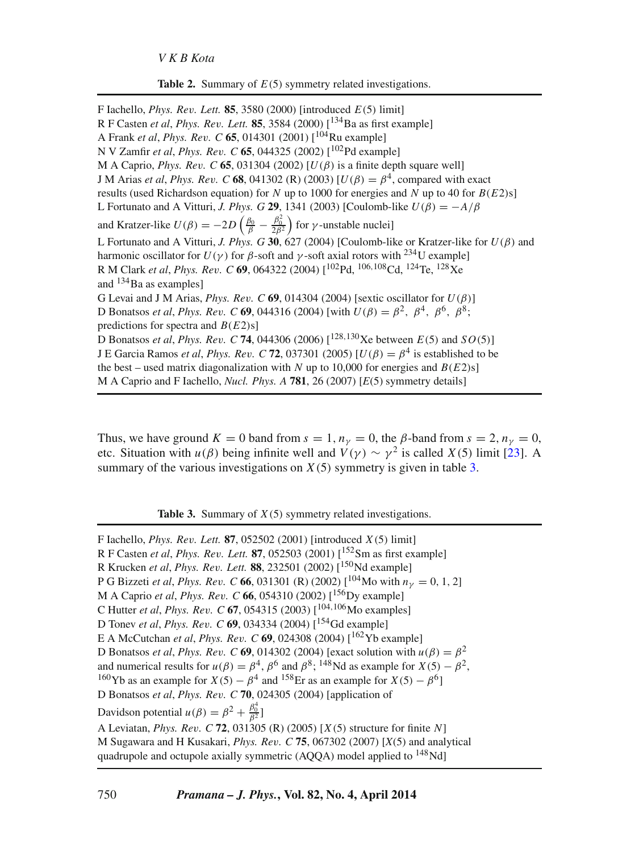**Table 2.** Summary of  $E(5)$  symmetry related investigations.

<span id="page-7-0"></span>F Iachello, *Phys. Re*v*. Lett.* **85**, 3580 (2000) [introduced E(5) limit] R F Casten *et al*, *Phys. Re*v*. Lett.* **85**, 3584 (2000) [134Ba as first example] A Frank *et al*, *Phys. Re*v*. C* **65**, 014301 (2001) [104Ru example] N V Zamfir *et al*, *Phys. Re*v*. C* **65**, 044325 (2002) [102Pd example] M A Caprio, *Phys. Rev. C* **65**, 031304 (2002) [ $U(\beta)$  is a finite depth square well] J M Arias *et al*, *Phys. Rev.* C 68, 041302 (R) (2003)  $[U(\beta) = \beta^4$ , compared with exact results (used Richardson equation) for N up to 1000 for energies and N up to 40 for  $B(E2)$ s] L Fortunato and A Vitturi, *J. Phys. G* **29**, 1341 (2003) [Coulomb-like  $U(\beta) = -A/\beta$ and Kratzer-like  $U(\beta) = -2D\left(\frac{\beta_0}{\beta} - \frac{\beta_0^2}{2\beta^2}\right)$  for  $\gamma$ -unstable nuclei] L Fortunato and A Vitturi, *J. Phys. G* **30**, 627 (2004) [Coulomb-like or Kratzer-like for  $U(\beta)$  and harmonic oscillator for  $U(y)$  for β-soft and γ-soft axial rotors with <sup>234</sup>U example] R M Clark *et al*, *Phys. Re*v*. C* **69**, 064322 (2004) [102Pd, <sup>106</sup>,108Cd, 124Te, 128Xe and  $134$ Ba as examples] G Levai and J M Arias, *Phys. Rev.* C  $69$ , 014304 (2004) [sextic oscillator for  $U(\beta)$ ] D Bonatsos *et al. Phys. Rev. C* **69**, 044316 (2004) [with  $U(β) = β<sup>2</sup>$ ,  $β<sup>4</sup>$ ,  $β<sup>6</sup>$ ,  $β<sup>8</sup>$ ; predictions for spectra and  $B(E2)s$ ] D Bonatsos *et al, Phys. Rev. C* **74**, 044306 (2006)  $\lceil^{128,130}\rceil$ Xe between  $E(5)$  and  $SO(5)$ ] J E Garcia Ramos *et al. Phys. Rev. C* **72**, 037301 (2005)  $[U(\beta) = \beta^4]$  is established to be the best – used matrix diagonalization with N up to 10,000 for energies and  $B(E2)s$ ] M A Caprio and F Iachello, *Nucl. Phys. A* **781**, 26 (2007) [*E*(5) symmetry details]

Thus, we have ground  $K = 0$  band from  $s = 1, n<sub>y</sub> = 0$ , the  $\beta$ -band from  $s = 2, n<sub>y</sub> = 0$ , etc. Situation with  $u(\beta)$  being infinite well and  $V(\gamma) \sim \gamma^2$  is called  $X(5)$  limit [\[23\]](#page-12-11). A summary of the various investigations on  $X(5)$  symmetry is given in table [3.](#page-7-1)

**Table 3.** Summary of  $X(5)$  symmetry related investigations.

<span id="page-7-1"></span>F Iachello, *Phys. Re*v*. Lett.* **87**, 052502 (2001) [introduced X(5) limit] R F Casten *et al*, *Phys. Re*v*. Lett.* **87**, 052503 (2001) [152Sm as first example] R Krucken *et al*, *Phys. Re*v*. Lett.* **88**, 232501 (2002) [150Nd example] P G Bizzeti *et al*, *Phys. Rev.* C 66, 031301 (R) (2002)  $\lceil 104 \text{Mo} \text{ with } n_v = 0, 1, 2 \rceil$ M A Caprio *et al*, *Phys. Re*v*. C* **66**, 054310 (2002) [156Dy example] C Hutter *et al*, *Phys. Re*v*. C* **67**, 054315 (2003) [104,106Mo examples] D Tonev *et al*, *Phys. Re*v*. C* **69**, 034334 (2004) [154Gd example] E A McCutchan *et al*, *Phys. Re*v*. C* **69**, 024308 (2004) [162Yb example] D Bonatsos *et al*, *Phys. Rev. C* **69**, 014302 (2004) [exact solution with  $u(β) = β<sup>2</sup>$  and numerical results for  $u(β) = β<sup>4</sup>$ ,  $β<sup>6</sup>$  and  $β<sup>8</sup>$ ; <sup>148</sup>Nd as example for  $X(5) - β<sup>2</sup>$ . <sup>160</sup> Yb as an example for  $X(5) - \beta^4$  and <sup>158</sup>Er as an example for  $X(5) - \beta^6$ ] D Bonatsos *et al*, *Phys. Re*v*. C* **70**, 024305 (2004) [application of Davidson potential  $u(\beta) = \beta^2 + \frac{\beta_0^4}{\beta^2}$ ] A Leviatan, *Phys. Re*v*. C* **72**, 031305 (R) (2005) [X(5) structure for finite N] M Sugawara and H Kusakari, *Phys. Re*v*. C* **75**, 067302 (2007) [*X*(5) and analytical quadrupole and octupole axially symmetric  $(AQQA)$  model applied to  $^{148}$ Nd]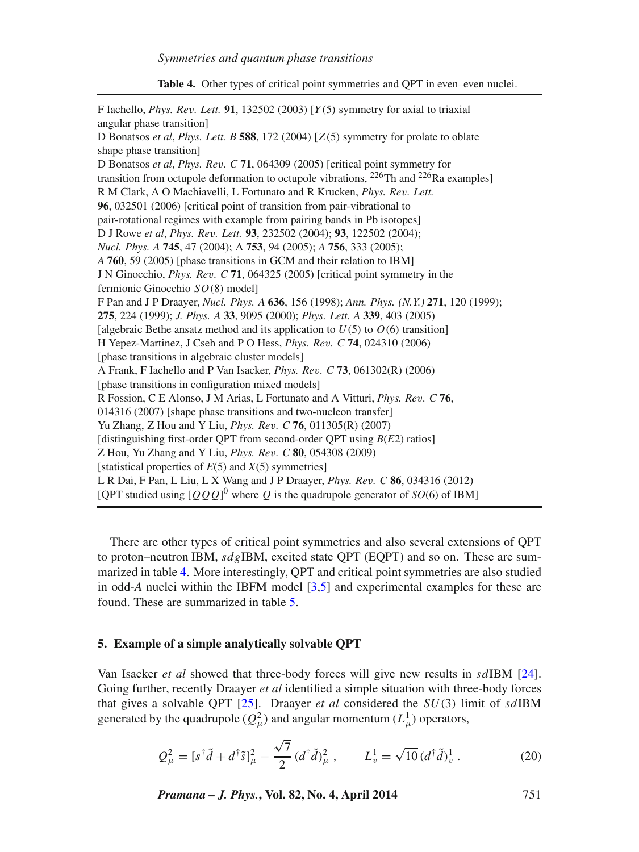**Table 4.** Other types of critical point symmetries and QPT in even–even nuclei.

<span id="page-8-1"></span>

| F Iachello, <i>Phys. Rev. Lett.</i> <b>91</b> , 132502 (2003) [ $Y(5)$ symmetry for axial to triaxial |
|-------------------------------------------------------------------------------------------------------|
| angular phase transition]                                                                             |
| D Bonatsos et al, Phys. Lett. B 588, 172 (2004) [ $Z(5)$ symmetry for prolate to oblate               |
| shape phase transition]                                                                               |
| D Bonatsos <i>et al. Phys. Rev. C</i> 71, 064309 (2005) [critical point symmetry for                  |
| transition from octupole deformation to octupole vibrations, $^{226}$ Th and $^{226}$ Ra examples]    |
| R M Clark, A O Machiavelli, L Fortunato and R Krucken, Phys. Rev. Lett.                               |
| 96, 032501 (2006) [critical point of transition from pair-vibrational to                              |
| pair-rotational regimes with example from pairing bands in Pb isotopes]                               |
| D J Rowe et al, Phys. Rev. Lett. 93, 232502 (2004); 93, 122502 (2004);                                |
| <i>Nucl. Phys. A</i> <b>745</b> , 47 (2004); A <b>753</b> , 94 (2005); A <b>756</b> , 333 (2005);     |
| A 760, 59 (2005) [phase transitions in GCM and their relation to IBM]                                 |
| J N Ginocchio, <i>Phys. Rev. C</i> 71, 064325 (2005) [critical point symmetry in the                  |
| fermionic Ginocchio $SO(8)$ model]                                                                    |
| F Pan and J P Draayer, Nucl. Phys. A 636, 156 (1998); Ann. Phys. (N.Y.) 271, 120 (1999);              |
| 275, 224 (1999); J. Phys. A 33, 9095 (2000); Phys. Lett. A 339, 403 (2005)                            |
| [algebraic Bethe ansatz method and its application to $U(5)$ to $O(6)$ transition]                    |
| H Yepez-Martinez, J Cseh and P O Hess, <i>Phys. Rev. C</i> 74, 024310 (2006)                          |
| [phase transitions in algebraic cluster models]                                                       |
| A Frank, F Iachello and P Van Isacker, <i>Phys. Rev. C</i> 73, 061302(R) (2006)                       |
| [phase transitions in configuration mixed models]                                                     |
| R Fossion, C E Alonso, J M Arias, L Fortunato and A Vitturi, Phys. Rev. C 76,                         |
| 014316 (2007) [shape phase transitions and two-nucleon transfer]                                      |
| Yu Zhang, Z Hou and Y Liu, <i>Phys. Rev. C</i> 76, 011305(R) (2007)                                   |
| [distinguishing first-order QPT from second-order QPT using $B(E2)$ ratios]                           |
| Z Hou, Yu Zhang and Y Liu, Phys. Rev. C 80, 054308 (2009)                                             |
| [statistical properties of $E(5)$ and $X(5)$ symmetries]                                              |
| L R Dai, F Pan, L Liu, L X Wang and J P Draayer, Phys. Rev. C 86, 034316 (2012)                       |
| [QPT studied using $[QQQ]$ <sup>0</sup> where Q is the quadrupole generator of SO(6) of IBM]          |
|                                                                                                       |

There are other types of critical point symmetries and also several extensions of QPT to proton–neutron IBM,  $sdg$ IBM, excited state QPT (EQPT) and so on. These are summarized in table [4.](#page-8-1) More interestingly, QPT and critical point symmetries are also studied in odd-*A* nuclei within the IBFM model [\[3](#page-11-3)[,5\]](#page-11-4) and experimental examples for these are found. These are summarized in table [5.](#page-9-0)

# <span id="page-8-0"></span>**5. Example of a simple analytically solvable QPT**

Van Isacker *et al* showed that three-body forces will give new results in sdIBM [\[24\]](#page-12-12). Going further, recently Draayer *et al* identified a simple situation with three-body forces that gives a solvable QPT [\[25\]](#page-12-13). Draayer *et al* considered the SU(3) limit of sdIBM generated by the quadrupole ( $Q_{\mu}^2$ ) and angular momentum ( $L^1_{\mu}$ ) operators,

$$
Q_{\mu}^{2} = [s^{\dagger} \tilde{d} + d^{\dagger} \tilde{s}]_{\mu}^{2} - \frac{\sqrt{7}}{2} (d^{\dagger} \tilde{d})_{\mu}^{2} , \qquad L_{\nu}^{1} = \sqrt{10} (d^{\dagger} \tilde{d})_{\nu}^{1} . \tag{20}
$$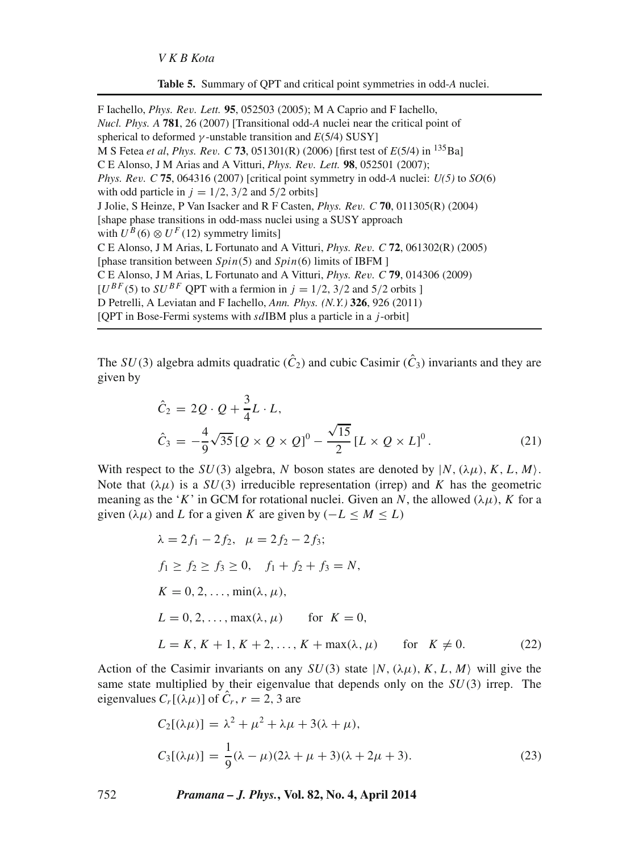|  |  |  | Table 5. Summary of QPT and critical point symmetries in odd-A nuclei. |  |  |  |  |
|--|--|--|------------------------------------------------------------------------|--|--|--|--|
|--|--|--|------------------------------------------------------------------------|--|--|--|--|

<span id="page-9-0"></span>F Iachello, *Phys. Re*v*. Lett.* **95**, 052503 (2005); M A Caprio and F Iachello, *Nucl. Phys. A* **781**, 26 (2007) [Transitional odd-*A* nuclei near the critical point of spherical to deformed  $\gamma$ -unstable transition and  $E(5/4)$  SUSY] M S Fetea *et al*, *Phys. Re*v*. C* **73**, 051301(R) (2006) [first test of *E*(5/4) in 135Ba] C E Alonso, J M Arias and A Vitturi, *Phys. Re*v*. Lett.* **98**, 052501 (2007); *Phys. Re*v*. C* **75**, 064316 (2007) [critical point symmetry in odd-*A* nuclei: *U(5)* to *SO*(6) with odd particle in  $j = 1/2$ , 3/2 and 5/2 orbits] J Jolie, S Heinze, P Van Isacker and R F Casten, *Phys. Re*v*. C* **70**, 011305(R) (2004) [shape phase transitions in odd-mass nuclei using a SUSY approach with  $U^B(6) \otimes U^F(12)$  symmetry limits] C E Alonso, J M Arias, L Fortunato and A Vitturi, *Phys. Re*v*. C* **72**, 061302(R) (2005) [phase transition between  $Spin(5)$  and  $Spin(6)$  limits of IBFM ] C E Alonso, J M Arias, L Fortunato and A Vitturi, *Phys. Re*v*. C* **79**, 014306 (2009)  $[U^{BF}(5)$  to  $SU^{BF}$  QPT with a fermion in  $j = 1/2$ , 3/2 and 5/2 orbits ] D Petrelli, A Leviatan and F Iachello, *Ann. Phys. (N.Y.)* **326**, 926 (2011) [QPT in Bose-Fermi systems with  $sdIBM$  plus a particle in a j-orbit]

The  $SU(3)$  algebra admits quadratic  $(\hat{C}_2)$  and cubic Casimir  $(\hat{C}_3)$  invariants and they are given by

$$
\hat{C}_2 = 2Q \cdot Q + \frac{3}{4}L \cdot L, \n\hat{C}_3 = -\frac{4}{9}\sqrt{35}[Q \times Q \times Q]^0 - \frac{\sqrt{15}}{2}[L \times Q \times L]^0.
$$
\n(21)

With respect to the  $SU(3)$  algebra, N boson states are denoted by  $|N, (\lambda \mu), K, L, M\rangle$ . Note that  $(\lambda \mu)$  is a  $SU(3)$  irreducible representation (irrep) and K has the geometric meaning as the 'K' in GCM for rotational nuclei. Given an N, the allowed  $(\lambda \mu)$ , K for a given ( $\lambda \mu$ ) and L for a given K are given by ( $-L \le M \le L$ )

<span id="page-9-2"></span>
$$
\lambda = 2f_1 - 2f_2, \quad \mu = 2f_2 - 2f_3;
$$
  
\n
$$
f_1 \ge f_2 \ge f_3 \ge 0, \quad f_1 + f_2 + f_3 = N,
$$
  
\n
$$
K = 0, 2, ..., \min(\lambda, \mu),
$$
  
\n
$$
L = 0, 2, ..., \max(\lambda, \mu) \quad \text{for } K = 0,
$$
  
\n
$$
L = K, K + 1, K + 2, ..., K + \max(\lambda, \mu) \quad \text{for } K \ne 0.
$$
 (22)

Action of the Casimir invariants on any  $SU(3)$  state  $|N,(\lambda\mu),K,L,M\rangle$  will give the same state multiplied by their eigenvalue that depends only on the  $SU(3)$  irrep. The eigenvalues  $C_r[(\lambda\mu)]$  of  $\hat{C}_r$ ,  $r = 2, 3$  are

<span id="page-9-1"></span>
$$
C_2[(\lambda \mu)] = \lambda^2 + \mu^2 + \lambda \mu + 3(\lambda + \mu),
$$
  
\n
$$
C_3[(\lambda \mu)] = \frac{1}{9}(\lambda - \mu)(2\lambda + \mu + 3)(\lambda + 2\mu + 3).
$$
\n(23)

752 *Pramana – J. Phys.***, Vol. 82, No. 4, April 2014**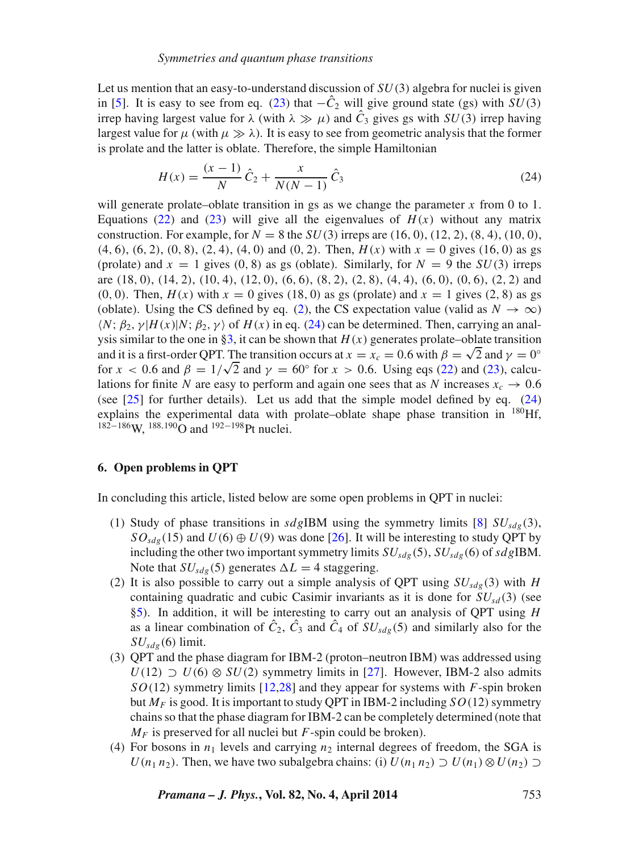Let us mention that an easy-to-understand discussion of  $SU(3)$  algebra for nuclei is given in [\[5\]](#page-11-4). It is easy to see from eq. [\(23\)](#page-9-1) that  $-\hat{C}_2$  will give ground state (gs) with  $SU(3)$ irrep having largest value for  $\lambda$  (with  $\lambda \gg \mu$ ) and  $\hat{C}_3$  gives gs with  $SU(3)$  irrep having largest value for  $\mu$  (with  $\mu \gg \lambda$ ). It is easy to see from geometric analysis that the former is prolate and the latter is oblate. Therefore, the simple Hamiltonian

<span id="page-10-1"></span>
$$
H(x) = \frac{(x-1)}{N}\hat{C}_2 + \frac{x}{N(N-1)}\hat{C}_3
$$
\n(24)

will generate prolate–oblate transition in gs as we change the parameter x from 0 to 1. Equations [\(22\)](#page-9-2) and [\(23\)](#page-9-1) will give all the eigenvalues of  $H(x)$  without any matrix construction. For example, for  $N = 8$  the  $SU(3)$  irreps are (16, 0), (12, 2), (8, 4), (10, 0),  $(4, 6)$ ,  $(6, 2)$ ,  $(0, 8)$ ,  $(2, 4)$ ,  $(4, 0)$  and  $(0, 2)$ . Then,  $H(x)$  with  $x = 0$  gives  $(16, 0)$  as gs (prolate) and  $x = 1$  gives (0, 8) as gs (oblate). Similarly, for  $N = 9$  the  $SU(3)$  irreps are  $(18, 0)$ ,  $(14, 2)$ ,  $(10, 4)$ ,  $(12, 0)$ ,  $(6, 6)$ ,  $(8, 2)$ ,  $(2, 8)$ ,  $(4, 4)$ ,  $(6, 0)$ ,  $(0, 6)$ ,  $(2, 2)$  and  $(0, 0)$ . Then,  $H(x)$  with  $x = 0$  gives (18, 0) as gs (prolate) and  $x = 1$  gives (2, 8) as gs (oblate). Using the CS defined by eq. [\(2\)](#page-2-0), the CS expectation value (valid as  $N \to \infty$ )  $\langle N; \beta_2, \gamma | H(x) | N; \beta_2, \gamma \rangle$  of  $H(x)$  in eq. [\(24\)](#page-10-1) can be determined. Then, carrying an anal-ysis similar to the one in [§3,](#page-3-0) it can be shown that  $H(x)$  generates prolate–oblate transition and it is a first-order QPT. The transition occurs at  $x = x_c = 0.6$  with  $\beta = \sqrt{2}$  and  $\gamma = 0^\circ$ for  $x < 0.6$  and  $\beta = 1/\sqrt{2}$  and  $\gamma = 60^\circ$  for  $x > 0.6$ . Using eqs [\(22\)](#page-9-2) and [\(23\)](#page-9-1), calculations for finite N are easy to perform and again one sees that as N increases  $x_c \rightarrow 0.6$ (see [\[25\]](#page-12-13) for further details). Let us add that the simple model defined by eq. [\(24\)](#page-10-1) explains the experimental data with prolate–oblate shape phase transition in <sup>180</sup>Hf, 182<sup>-186</sup>W, <sup>188,190</sup>O and <sup>192-198</sup>Pt nuclei.

# <span id="page-10-0"></span>**6. Open problems in QPT**

In concluding this article, listed below are some open problems in QPT in nuclei:

- (1) Study of phase transitions in sdgIBM using the symmetry limits [\[8\]](#page-11-2)  $SU_{sdp}(3)$ ,  $SO_{sdg}(15)$  and  $U(6) \oplus U(9)$  was done [\[26\]](#page-12-14). It will be interesting to study QPT by including the other two important symmetry limits  $SU_{sdg}(5)$ ,  $SU_{sdg}(6)$  of  $sdg$ IBM. Note that  $SU_{sdg}(5)$  generates  $\Delta L = 4$  staggering.
- (2) It is also possible to carry out a simple analysis of QPT using  $SU_{sdg}(3)$  with H containing quadratic and cubic Casimir invariants as it is done for  $SU_{sd}(3)$  (see [§5\)](#page-8-0). In addition, it will be interesting to carry out an analysis of QPT using H as a linear combination of  $C_2$ ,  $C_3$  and  $C_4$  of  $SU_{sdg}(5)$  and similarly also for the  $SU_{sdg}(6)$  limit.
- (3) QPT and the phase diagram for IBM-2 (proton–neutron IBM) was addressed using  $U(12) \supset U(6) \otimes SU(2)$  symmetry limits in [\[27\]](#page-12-15). However, IBM-2 also admits  $SO(12)$  symmetry limits [\[12](#page-12-0)[,28\]](#page-12-16) and they appear for systems with F-spin broken but  $M_F$  is good. It is important to study QPT in IBM-2 including  $SO(12)$  symmetry chains so that the phase diagram for IBM-2 can be completely determined (note that  $M_F$  is preserved for all nuclei but F-spin could be broken).
- (4) For bosons in  $n_1$  levels and carrying  $n_2$  internal degrees of freedom, the SGA is  $U(n_1 n_2)$ . Then, we have two subalgebra chains: (i)  $U(n_1 n_2) \supset U(n_1) \otimes U(n_2) \supset$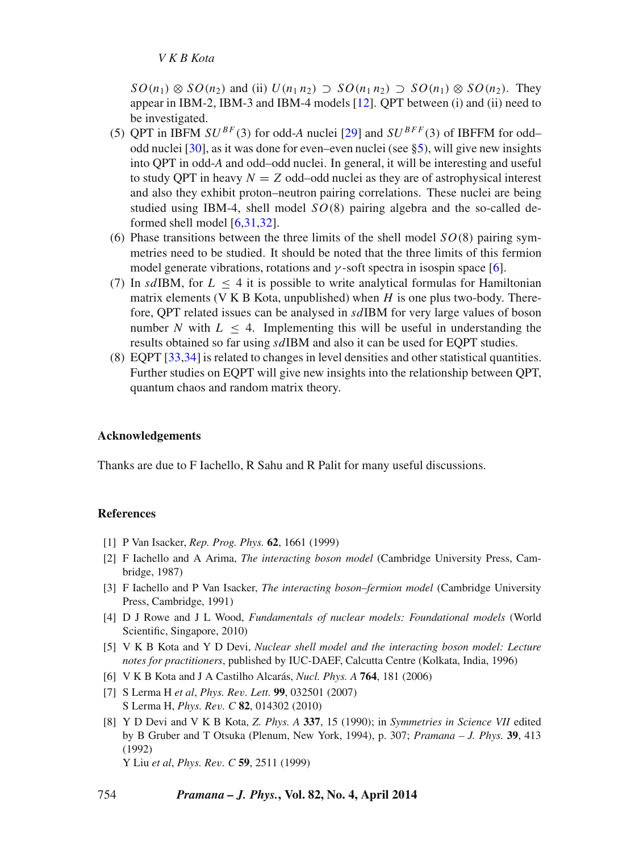$SO(n_1) \otimes SO(n_2)$  and (ii)  $U(n_1 n_2) \supset SO(n_1 n_2) \supset SO(n_1) \otimes SO(n_2)$ . They appear in IBM-2, IBM-3 and IBM-4 models [\[12\]](#page-12-0). QPT between (i) and (ii) need to be investigated.

- (5) OPT in IBFM  $SU^{BF}(3)$  for odd-A nuclei [\[29\]](#page-12-17) and  $SU^{BFF}(3)$  of IBFFM for oddodd nuclei [\[30\]](#page-12-18), as it was done for even–even nuclei (see [§5\)](#page-8-0), will give new insights into QPT in odd-*A* and odd–odd nuclei. In general, it will be interesting and useful to study OPT in heavy  $N = Z$  odd–odd nuclei as they are of astrophysical interest and also they exhibit proton–neutron pairing correlations. These nuclei are being studied using IBM-4, shell model  $SO(8)$  pairing algebra and the so-called deformed shell model [\[6](#page-12-19)[,31](#page-11-5)[,32\]](#page-12-20).
- (6) Phase transitions between the three limits of the shell model  $SO(8)$  pairing symmetries need to be studied. It should be noted that the three limits of this fermion model generate vibrations, rotations and  $\gamma$ -soft spectra in isospin space [\[6\]](#page-11-5).
- (7) In sdIBM, for  $L < 4$  it is possible to write analytical formulas for Hamiltonian matrix elements (V K B Kota, unpublished) when  $H$  is one plus two-body. Therefore, QPT related issues can be analysed in sdIBM for very large values of boson number N with  $L < 4$ . Implementing this will be useful in understanding the results obtained so far using sdIBM and also it can be used for EQPT studies.
- (8) EQPT [\[33](#page-12-21)[,34\]](#page-12-22) is related to changes in level densities and other statistical quantities. Further studies on EQPT will give new insights into the relationship between QPT, quantum chaos and random matrix theory.

# **Acknowledgements**

Thanks are due to F Iachello, R Sahu and R Palit for many useful discussions.

# **References**

- <span id="page-11-0"></span>[1] P Van Isacker, *Rep. Prog. Phys.* **62**, 1661 (1999)
- <span id="page-11-1"></span>[2] F Iachello and A Arima, *The interacting boson model* (Cambridge University Press, Cambridge, 1987)
- <span id="page-11-3"></span>[3] F Iachello and P Van Isacker, *The interacting boson–fermion model* (Cambridge University Press, Cambridge, 1991)
- [4] D J Rowe and J L Wood, *Fundamentals of nuclear models: Foundational models* (World Scientific, Singapore, 2010)
- <span id="page-11-4"></span>[5] V K B Kota and Y D Devi, *Nuclear shell model and the interacting boson model: Lecture notes for practitioners*, published by IUC-DAEF, Calcutta Centre (Kolkata, India, 1996)
- <span id="page-11-5"></span>[6] V K B Kota and J A Castilho Alcarás, *Nucl. Phys. A* **764**, 181 (2006)
- [7] S Lerma H *et al*, *Phys. Re*v*. Lett.* **99**, 032501 (2007) S Lerma H, *Phys. Re*v*. C* **82**, 014302 (2010)
- <span id="page-11-2"></span>[8] Y D Devi and V K B Kota, *Z. Phys. A* **337**, 15 (1990); in *Symmetries in Science VII* edited by B Gruber and T Otsuka (Plenum, New York, 1994), p. 307; *Pramana – J. Phys.* **39**, 413 (1992)

Y Liu *et al*, *Phys. Re*v*. C* **59**, 2511 (1999)